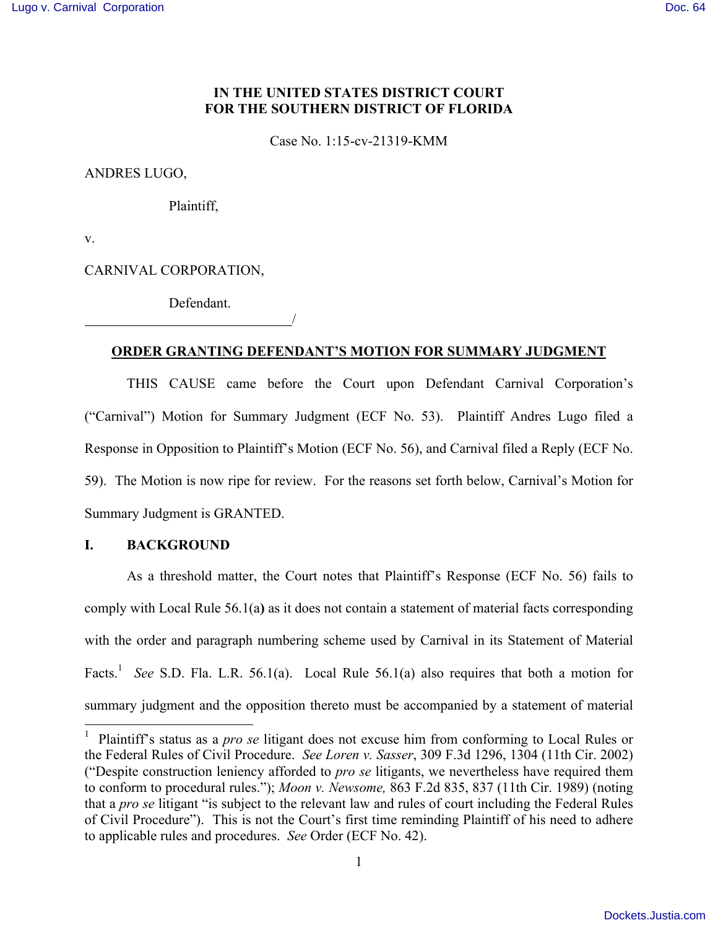# **IN THE UNITED STATES DISTRICT COURT FOR THE SOUTHERN DISTRICT OF FLORIDA**

Case No. 1:15-cv-21319-KMM

### ANDRES LUGO,

Plaintiff,

v.

CARNIVAL CORPORATION,

Defendant.

<u>/</u>

## **ORDER GRANTING DEFENDANT'S MOTION FOR SUMMARY JUDGMENT**

THIS CAUSE came before the Court upon Defendant Carnival Corporation's ("Carnival") Motion for Summary Judgment (ECF No. 53). Plaintiff Andres Lugo filed a Response in Opposition to Plaintiff's Motion (ECF No. 56), and Carnival filed a Reply (ECF No. 59). The Motion is now ripe for review. For the reasons set forth below, Carnival's Motion for Summary Judgment is GRANTED.

### **I. BACKGROUND**

As a threshold matter, the Court notes that Plaintiff's Response (ECF No. 56) fails to comply with Local Rule 56.1(a**)** as it does not contain a statement of material facts corresponding with the order and paragraph numbering scheme used by Carnival in its Statement of Material Facts.<sup>1</sup> See S.D. Fla. L.R. 56.1(a). Local Rule 56.1(a) also requires that both a motion for summary judgment and the opposition thereto must be accompanied by a statement of material

1 Plaintiff's status as a *pro se* litigant does not excuse him from conforming to Local Rules or the Federal Rules of Civil Procedure. *See Loren v. Sasser*, 309 F.3d 1296, 1304 (11th Cir. 2002) ("Despite construction leniency afforded to *pro se* litigants, we nevertheless have required them to conform to procedural rules."); *Moon v. Newsome,* 863 F.2d 835, 837 (11th Cir. 1989) (noting that a *pro se* litigant "is subject to the relevant law and rules of court including the Federal Rules of Civil Procedure"). This is not the Court's first time reminding Plaintiff of his need to adhere to applicable rules and procedures. *See* Order (ECF No. 42).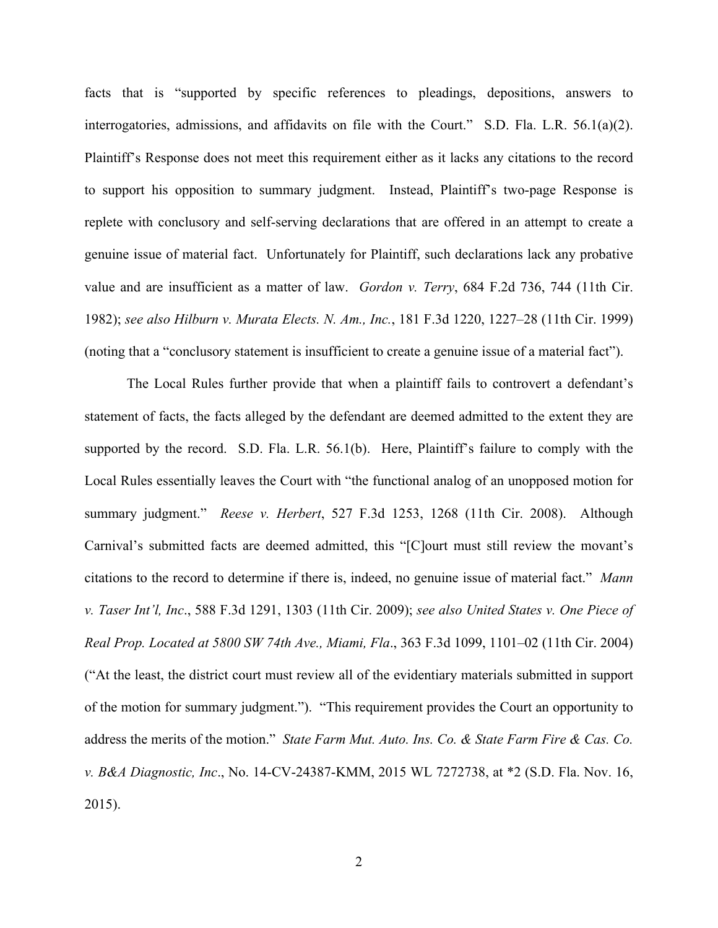facts that is "supported by specific references to pleadings, depositions, answers to interrogatories, admissions, and affidavits on file with the Court." S.D. Fla. L.R. 56.1(a)(2). Plaintiff's Response does not meet this requirement either as it lacks any citations to the record to support his opposition to summary judgment. Instead, Plaintiff's two-page Response is replete with conclusory and self-serving declarations that are offered in an attempt to create a genuine issue of material fact. Unfortunately for Plaintiff, such declarations lack any probative value and are insufficient as a matter of law. *Gordon v. Terry*, 684 F.2d 736, 744 (11th Cir. 1982); *see also Hilburn v. Murata Elects. N. Am., Inc.*, 181 F.3d 1220, 1227–28 (11th Cir. 1999) (noting that a "conclusory statement is insufficient to create a genuine issue of a material fact").

The Local Rules further provide that when a plaintiff fails to controvert a defendant's statement of facts, the facts alleged by the defendant are deemed admitted to the extent they are supported by the record. S.D. Fla. L.R. 56.1(b). Here, Plaintiff's failure to comply with the Local Rules essentially leaves the Court with "the functional analog of an unopposed motion for summary judgment." *Reese v. Herbert*, 527 F.3d 1253, 1268 (11th Cir. 2008). Although Carnival's submitted facts are deemed admitted, this "[C]ourt must still review the movant's citations to the record to determine if there is, indeed, no genuine issue of material fact." *Mann v. Taser Int'l, Inc*., 588 F.3d 1291, 1303 (11th Cir. 2009); *see also United States v. One Piece of Real Prop. Located at 5800 SW 74th Ave., Miami, Fla*., 363 F.3d 1099, 1101–02 (11th Cir. 2004) ("At the least, the district court must review all of the evidentiary materials submitted in support of the motion for summary judgment."). "This requirement provides the Court an opportunity to address the merits of the motion." *State Farm Mut. Auto. Ins. Co. & State Farm Fire & Cas. Co. v. B&A Diagnostic, Inc*., No. 14-CV-24387-KMM, 2015 WL 7272738, at \*2 (S.D. Fla. Nov. 16, 2015).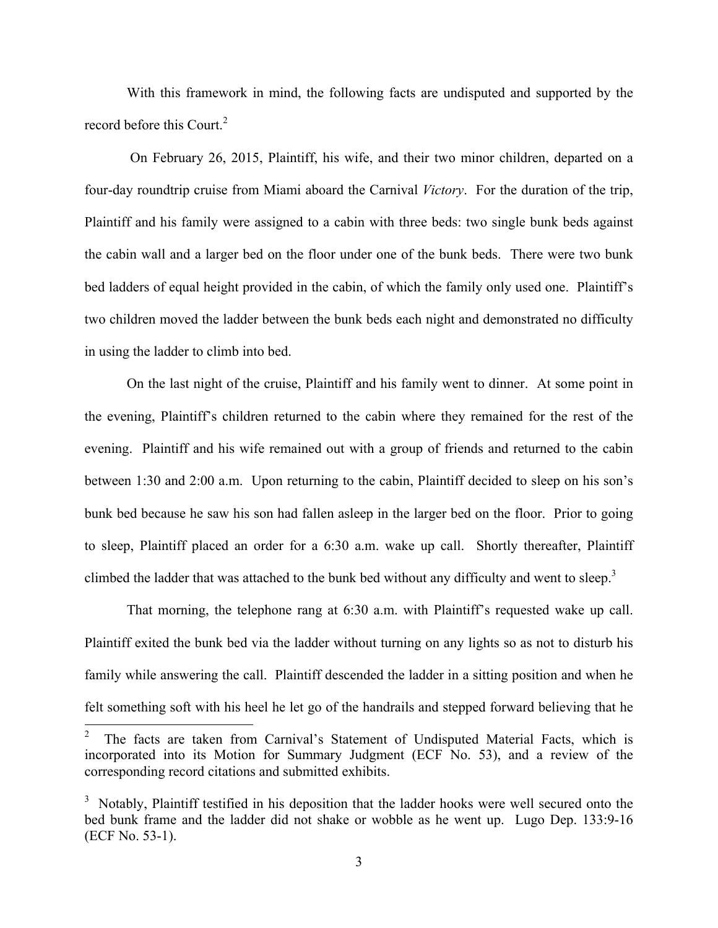With this framework in mind, the following facts are undisputed and supported by the record before this Court. 2

On February 26, 2015, Plaintiff, his wife, and their two minor children, departed on a four-day roundtrip cruise from Miami aboard the Carnival *Victory*. For the duration of the trip, Plaintiff and his family were assigned to a cabin with three beds: two single bunk beds against the cabin wall and a larger bed on the floor under one of the bunk beds. There were two bunk bed ladders of equal height provided in the cabin, of which the family only used one. Plaintiff's two children moved the ladder between the bunk beds each night and demonstrated no difficulty in using the ladder to climb into bed.

On the last night of the cruise, Plaintiff and his family went to dinner. At some point in the evening, Plaintiff's children returned to the cabin where they remained for the rest of the evening. Plaintiff and his wife remained out with a group of friends and returned to the cabin between 1:30 and 2:00 a.m. Upon returning to the cabin, Plaintiff decided to sleep on his son's bunk bed because he saw his son had fallen asleep in the larger bed on the floor. Prior to going to sleep, Plaintiff placed an order for a 6:30 a.m. wake up call. Shortly thereafter, Plaintiff climbed the ladder that was attached to the bunk bed without any difficulty and went to sleep.<sup>3</sup>

That morning, the telephone rang at 6:30 a.m. with Plaintiff's requested wake up call. Plaintiff exited the bunk bed via the ladder without turning on any lights so as not to disturb his family while answering the call. Plaintiff descended the ladder in a sitting position and when he felt something soft with his heel he let go of the handrails and stepped forward believing that he

 $\frac{1}{2}$  The facts are taken from Carnival's Statement of Undisputed Material Facts, which is incorporated into its Motion for Summary Judgment (ECF No. 53), and a review of the corresponding record citations and submitted exhibits.

 $3$  Notably, Plaintiff testified in his deposition that the ladder hooks were well secured onto the bed bunk frame and the ladder did not shake or wobble as he went up. Lugo Dep. 133:9-16 (ECF No. 53-1).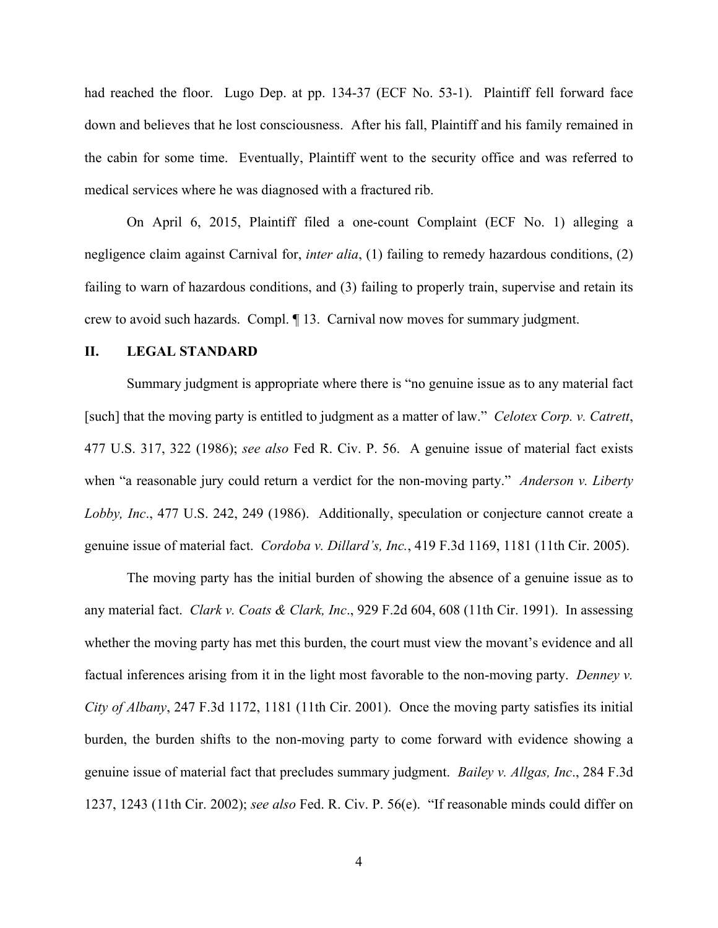had reached the floor. Lugo Dep. at pp. 134-37 (ECF No. 53-1). Plaintiff fell forward face down and believes that he lost consciousness. After his fall, Plaintiff and his family remained in the cabin for some time. Eventually, Plaintiff went to the security office and was referred to medical services where he was diagnosed with a fractured rib.

On April 6, 2015, Plaintiff filed a one-count Complaint (ECF No. 1) alleging a negligence claim against Carnival for, *inter alia*, (1) failing to remedy hazardous conditions, (2) failing to warn of hazardous conditions, and (3) failing to properly train, supervise and retain its crew to avoid such hazards. Compl. ¶ 13. Carnival now moves for summary judgment.

#### **II. LEGAL STANDARD**

Summary judgment is appropriate where there is "no genuine issue as to any material fact [such] that the moving party is entitled to judgment as a matter of law." *Celotex Corp. v. Catrett*, 477 U.S. 317, 322 (1986); *see also* Fed R. Civ. P. 56. A genuine issue of material fact exists when "a reasonable jury could return a verdict for the non-moving party." *Anderson v. Liberty Lobby, Inc*., 477 U.S. 242, 249 (1986). Additionally, speculation or conjecture cannot create a genuine issue of material fact. *Cordoba v. Dillard's, Inc.*, 419 F.3d 1169, 1181 (11th Cir. 2005).

The moving party has the initial burden of showing the absence of a genuine issue as to any material fact. *Clark v. Coats & Clark, Inc*., 929 F.2d 604, 608 (11th Cir. 1991). In assessing whether the moving party has met this burden, the court must view the movant's evidence and all factual inferences arising from it in the light most favorable to the non-moving party. *Denney v. City of Albany*, 247 F.3d 1172, 1181 (11th Cir. 2001). Once the moving party satisfies its initial burden, the burden shifts to the non-moving party to come forward with evidence showing a genuine issue of material fact that precludes summary judgment. *Bailey v. Allgas, Inc*., 284 F.3d 1237, 1243 (11th Cir. 2002); *see also* Fed. R. Civ. P. 56(e). "If reasonable minds could differ on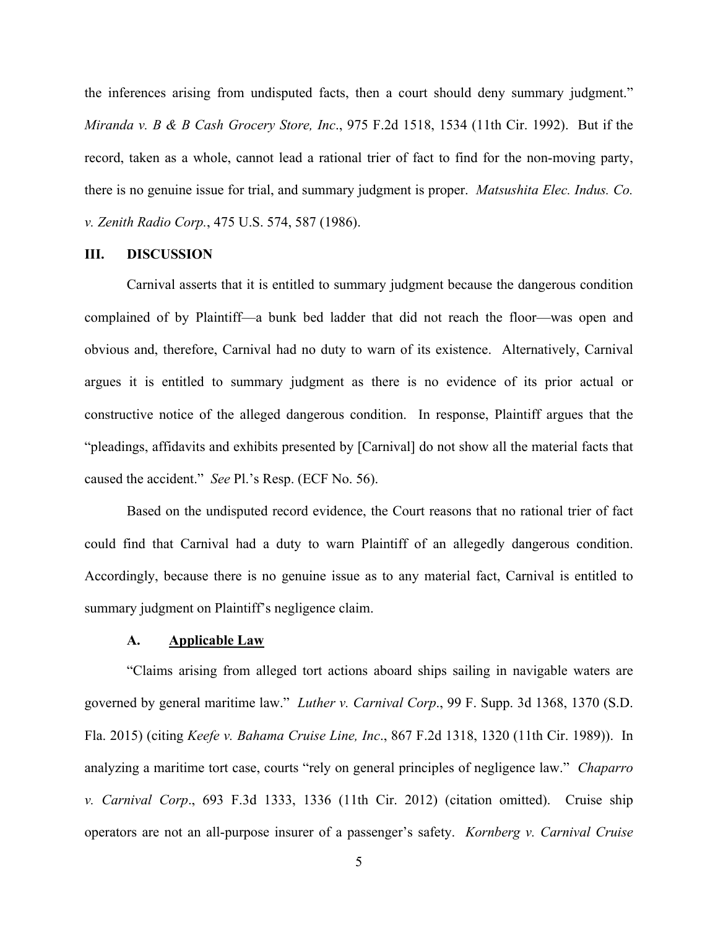the inferences arising from undisputed facts, then a court should deny summary judgment." *Miranda v. B & B Cash Grocery Store, Inc*., 975 F.2d 1518, 1534 (11th Cir. 1992). But if the record, taken as a whole, cannot lead a rational trier of fact to find for the non-moving party, there is no genuine issue for trial, and summary judgment is proper. *Matsushita Elec. Indus. Co. v. Zenith Radio Corp.*, 475 U.S. 574, 587 (1986).

#### **III. DISCUSSION**

Carnival asserts that it is entitled to summary judgment because the dangerous condition complained of by Plaintiff—a bunk bed ladder that did not reach the floor—was open and obvious and, therefore, Carnival had no duty to warn of its existence. Alternatively, Carnival argues it is entitled to summary judgment as there is no evidence of its prior actual or constructive notice of the alleged dangerous condition. In response, Plaintiff argues that the "pleadings, affidavits and exhibits presented by [Carnival] do not show all the material facts that caused the accident." *See* Pl.'s Resp. (ECF No. 56).

Based on the undisputed record evidence, the Court reasons that no rational trier of fact could find that Carnival had a duty to warn Plaintiff of an allegedly dangerous condition. Accordingly, because there is no genuine issue as to any material fact, Carnival is entitled to summary judgment on Plaintiff's negligence claim.

## **A. Applicable Law**

"Claims arising from alleged tort actions aboard ships sailing in navigable waters are governed by general maritime law." *Luther v. Carnival Corp*., 99 F. Supp. 3d 1368, 1370 (S.D. Fla. 2015) (citing *Keefe v. Bahama Cruise Line, Inc*., 867 F.2d 1318, 1320 (11th Cir. 1989)). In analyzing a maritime tort case, courts "rely on general principles of negligence law." *Chaparro v. Carnival Corp*., 693 F.3d 1333, 1336 (11th Cir. 2012) (citation omitted). Cruise ship operators are not an all-purpose insurer of a passenger's safety. *Kornberg v. Carnival Cruise*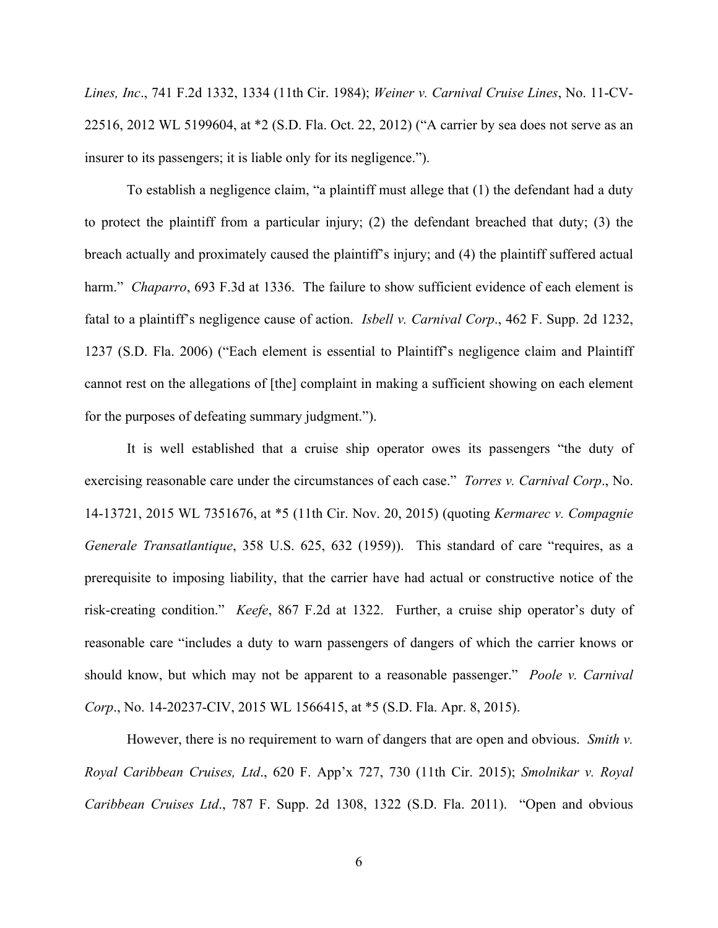*Lines, Inc*., 741 F.2d 1332, 1334 (11th Cir. 1984); *Weiner v. Carnival Cruise Lines*, No. 11-CV-22516, 2012 WL 5199604, at \*2 (S.D. Fla. Oct. 22, 2012) ("A carrier by sea does not serve as an insurer to its passengers; it is liable only for its negligence.").

To establish a negligence claim, "a plaintiff must allege that (1) the defendant had a duty to protect the plaintiff from a particular injury; (2) the defendant breached that duty; (3) the breach actually and proximately caused the plaintiff's injury; and (4) the plaintiff suffered actual harm." *Chaparro*, 693 F.3d at 1336. The failure to show sufficient evidence of each element is fatal to a plaintiff's negligence cause of action. *Isbell v. Carnival Corp*., 462 F. Supp. 2d 1232, 1237 (S.D. Fla. 2006) ("Each element is essential to Plaintiff's negligence claim and Plaintiff cannot rest on the allegations of [the] complaint in making a sufficient showing on each element for the purposes of defeating summary judgment.").

It is well established that a cruise ship operator owes its passengers "the duty of exercising reasonable care under the circumstances of each case." *Torres v. Carnival Corp*., No. 14-13721, 2015 WL 7351676, at \*5 (11th Cir. Nov. 20, 2015) (quoting *Kermarec v. Compagnie Generale Transatlantique*, 358 U.S. 625, 632 (1959)). This standard of care "requires, as a prerequisite to imposing liability, that the carrier have had actual or constructive notice of the risk-creating condition." *Keefe*, 867 F.2d at 1322. Further, a cruise ship operator's duty of reasonable care "includes a duty to warn passengers of dangers of which the carrier knows or should know, but which may not be apparent to a reasonable passenger." *Poole v. Carnival Corp*., No. 14-20237-CIV, 2015 WL 1566415, at \*5 (S.D. Fla. Apr. 8, 2015).

However, there is no requirement to warn of dangers that are open and obvious. *Smith v. Royal Caribbean Cruises, Ltd*., 620 F. App'x 727, 730 (11th Cir. 2015); *Smolnikar v. Royal Caribbean Cruises Ltd*., 787 F. Supp. 2d 1308, 1322 (S.D. Fla. 2011). "Open and obvious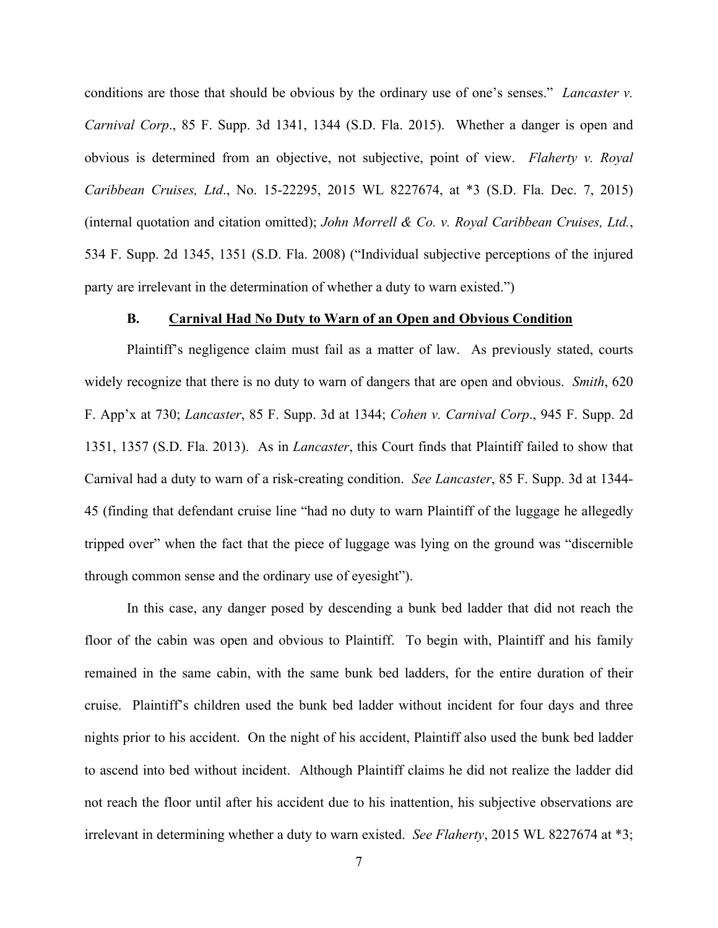conditions are those that should be obvious by the ordinary use of one's senses." *Lancaster v. Carnival Corp*., 85 F. Supp. 3d 1341, 1344 (S.D. Fla. 2015). Whether a danger is open and obvious is determined from an objective, not subjective, point of view. *Flaherty v. Royal Caribbean Cruises, Ltd*., No. 15-22295, 2015 WL 8227674, at \*3 (S.D. Fla. Dec. 7, 2015) (internal quotation and citation omitted); *John Morrell & Co. v. Royal Caribbean Cruises, Ltd.*, 534 F. Supp. 2d 1345, 1351 (S.D. Fla. 2008) ("Individual subjective perceptions of the injured party are irrelevant in the determination of whether a duty to warn existed.")

#### **B. Carnival Had No Duty to Warn of an Open and Obvious Condition**

Plaintiff's negligence claim must fail as a matter of law. As previously stated, courts widely recognize that there is no duty to warn of dangers that are open and obvious. *Smith*, 620 F. App'x at 730; *Lancaster*, 85 F. Supp. 3d at 1344; *Cohen v. Carnival Corp*., 945 F. Supp. 2d 1351, 1357 (S.D. Fla. 2013). As in *Lancaster*, this Court finds that Plaintiff failed to show that Carnival had a duty to warn of a risk-creating condition. *See Lancaster*, 85 F. Supp. 3d at 1344- 45 (finding that defendant cruise line "had no duty to warn Plaintiff of the luggage he allegedly tripped over" when the fact that the piece of luggage was lying on the ground was "discernible through common sense and the ordinary use of eyesight").

In this case, any danger posed by descending a bunk bed ladder that did not reach the floor of the cabin was open and obvious to Plaintiff. To begin with, Plaintiff and his family remained in the same cabin, with the same bunk bed ladders, for the entire duration of their cruise. Plaintiff's children used the bunk bed ladder without incident for four days and three nights prior to his accident. On the night of his accident, Plaintiff also used the bunk bed ladder to ascend into bed without incident. Although Plaintiff claims he did not realize the ladder did not reach the floor until after his accident due to his inattention, his subjective observations are irrelevant in determining whether a duty to warn existed. *See Flaherty*, 2015 WL 8227674 at \*3;